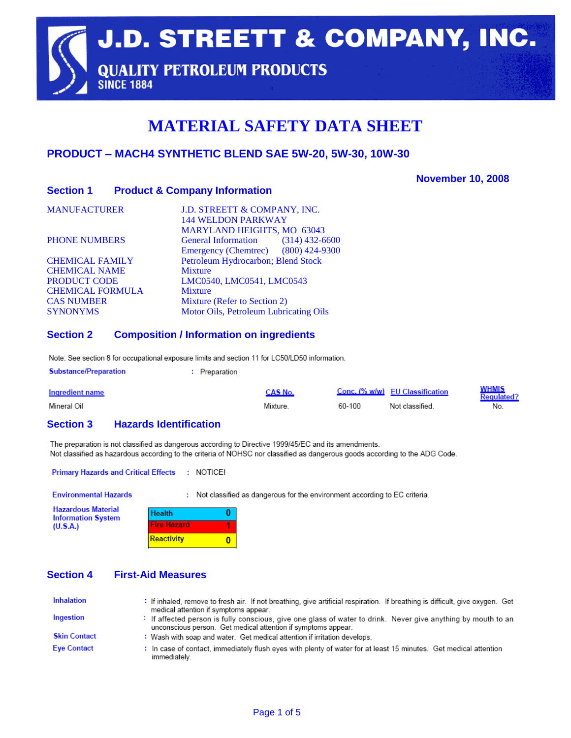**J.D. STREETT & COMPANY, INC. QUALITY PETROLEUM PRODUCTS SINCE 1884** 

# **MATERIAL SAFETY DATA SHEET**

## **PRODUCT – MACH4 SYNTHETIC BLEND SAE 5W-20, 5W-30, 10W-30**

#### **November 10, 2008**

#### **Section 1 Product & Company Information**

| J.D. STREETT & COMPANY, INC.<br><b>144 WELDON PARKWAY</b> |
|-----------------------------------------------------------|
| <b>MARYLAND HEIGHTS, MO 63043</b>                         |
| General Information (314) 432-6600                        |
| Emergency (Chemtrec) (800) 424-9300                       |
| Petroleum Hydrocarbon; Blend Stock                        |
| <b>Mixture</b>                                            |
| LMC0540, LMC0541, LMC0543                                 |
| <b>Mixture</b>                                            |
| Mixture (Refer to Section 2)                              |
| Motor Oils, Petroleum Lubricating Oils                    |
|                                                           |

#### **Section 2 Composition / Information on ingredients**

Note: See section 8 for occupational exposure limits and section 11 for LC50/LD50 information.

| <b>Substance/Preparation</b> | : Preparation |                |          |
|------------------------------|---------------|----------------|----------|
| Ingredient name              |               | <b>CAS</b> No. | Conc. I% |

| Ingredient name | ≅AS No. |        | Conc. (% w/w) EU Classification | <u>NHMIS</u><br><b>Regulated?</b> |
|-----------------|---------|--------|---------------------------------|-----------------------------------|
| Mineral Oil     | Mixture | 60-100 | Not classified                  | No.                               |

#### **Section 3 Hazards Identification**

The preparation is not classified as dangerous according to Directive 1999/45/EC and its amendments. Not classified as hazardous according to the criteria of NOHSC nor classified as dangerous goods according to the ADG Code.

Primary Hazards and Critical Effects : NOTICE!

**Environmental Hazards** 

: Not classified as dangerous for the environment according to EC criteria.

**Hazardous Material Information System**  $(U.S.A.)$ 

| <b>Health</b>      |  |
|--------------------|--|
| <b>Fire Hazard</b> |  |
| Reactivity         |  |

## **Section 4 First-Aid Measures**

| Inhalation          | : If inhaled, remove to fresh air. If not breathing, give artificial respiration. If breathing is difficult, give oxygen. Get<br>medical attention if symptoms appear.       |
|---------------------|------------------------------------------------------------------------------------------------------------------------------------------------------------------------------|
| Ingestion           | If affected person is fully conscious, give one glass of water to drink. Never give anything by mouth to an<br>unconscious person. Get medical attention if symptoms appear. |
| <b>Skin Contact</b> | : Wash with soap and water. Get medical attention if irritation develops.                                                                                                    |
| <b>Eye Contact</b>  | : In case of contact, immediately flush eyes with plenty of water for at least 15 minutes. Get medical attention<br>immediately.                                             |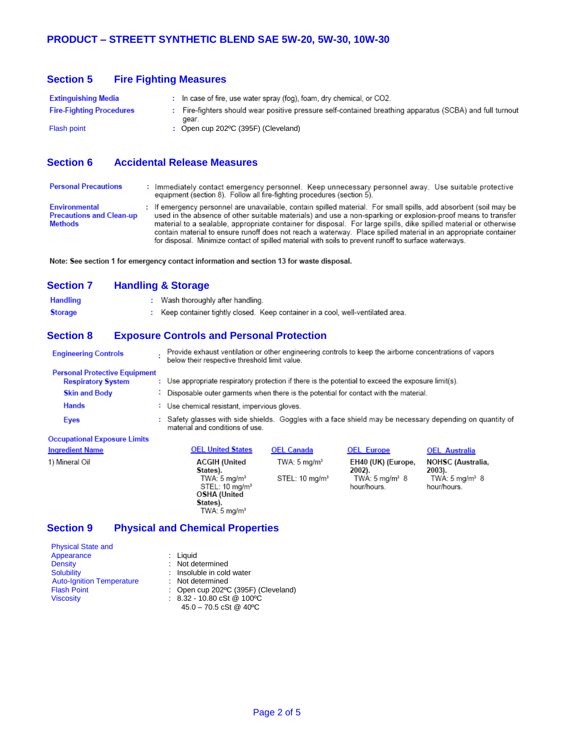| <b>Section 5</b> | <b>Fire Fighting Measures</b> |
|------------------|-------------------------------|
|------------------|-------------------------------|

| Extinguishing Media             | $\therefore$ In case of fire, use water spray (fog), foam, dry chemical, or CO2.                         |
|---------------------------------|----------------------------------------------------------------------------------------------------------|
| <b>Fire-Fighting Procedures</b> | : Fire-fighters should wear positive pressure self-contained breathing apparatus (SCBA) and full turnout |
| <b>Flash point</b>              | gear.<br>: Open cup $202$ °C (395F) (Cleveland)                                                          |

## **Section 6 Accidental Release Measures**

| <b>Personal Precautions</b>                                 | : Immediately contact emergency personnel. Keep unnecessary personnel away. Use suitable protective<br>equipment (section 8). Follow all fire-fighting procedures (section 5).                                                                                                                                                                                                                                                                                                                                                                                                   |
|-------------------------------------------------------------|----------------------------------------------------------------------------------------------------------------------------------------------------------------------------------------------------------------------------------------------------------------------------------------------------------------------------------------------------------------------------------------------------------------------------------------------------------------------------------------------------------------------------------------------------------------------------------|
| Environmental<br><b>Precautions and Clean-up</b><br>Methods | : If emergency personnel are unavailable, contain spilled material. For small spills, add absorbent (soil may be<br>used in the absence of other suitable materials) and use a non-sparking or explosion-proof means to transfer<br>material to a sealable, appropriate container for disposal. For large spills, dike spilled material or otherwise<br>contain material to ensure runoff does not reach a waterway. Place spilled material in an appropriate container<br>for disposal. Minimize contact of spilled material with soils to prevent runoff to surface waterways. |

Note: See section 1 for emergency contact information and section 13 for waste disposal.

## **Section 7 Handling & Storage**

| <b>Handling</b> | Wash thoroughly after handling.                    |  |
|-----------------|----------------------------------------------------|--|
| <b>Storage</b>  | Keep container tightly closed. Keep container in a |  |

#### **Section 8 Exposure Controls and Personal Protection**

| <b>Engineering Controls</b>                                       | Provide exhaust ventilation or other engineering controls to keep the airborne concentrations of vapors<br>below their respective threshold limit value. |                                                                                                        |                                                                             |                                                                            |  |  |
|-------------------------------------------------------------------|----------------------------------------------------------------------------------------------------------------------------------------------------------|--------------------------------------------------------------------------------------------------------|-----------------------------------------------------------------------------|----------------------------------------------------------------------------|--|--|
| <b>Personal Protective Equipment</b><br><b>Respiratory System</b> | : Use appropriate respiratory protection if there is the potential to exceed the exposure limit(s).                                                      |                                                                                                        |                                                                             |                                                                            |  |  |
| <b>Skin and Body</b>                                              | $\therefore$ Disposable outer garments when there is the potential for contact with the material.                                                        |                                                                                                        |                                                                             |                                                                            |  |  |
| <b>Hands</b>                                                      |                                                                                                                                                          | : Use chemical resistant, impervious gloves.                                                           |                                                                             |                                                                            |  |  |
| Eyes                                                              | material and conditions of use.                                                                                                                          | Safety glasses with side shields. Goggles with a face shield may be necessary depending on quantity of |                                                                             |                                                                            |  |  |
| <b>Occupational Exposure Limits</b>                               |                                                                                                                                                          |                                                                                                        |                                                                             |                                                                            |  |  |
| <b>Ingredient Name</b>                                            | <b>OEL United States</b>                                                                                                                                 | <b>OEL Canada</b>                                                                                      | <b>OEL Europe</b>                                                           | <b>OEL Australia</b>                                                       |  |  |
| 1) Mineral Oil                                                    | <b>ACGIH (United</b><br>States).<br>TWA: $5 \text{ mg/m}^3$<br>STEL: 10 mg/m <sup>3</sup><br>OSHA (United                                                | TWA: $5 \text{ mg/m}^3$<br>STEL: 10 mg/m <sup>3</sup>                                                  | EH40 (UK) (Europe,<br>$2002$ ).<br>TWA: $5 \text{ mg/m}^3$ 8<br>hour/hours. | NOHSC (Australia,<br>$2003$ ).<br>TWA: $5 \text{ ma/m}^3$ 8<br>hour/hours. |  |  |

cool, well-ventilated area.

#### **Section 9 Physical and Chemical Properties**

States).<br>TWA: 5 mg/m<sup>3</sup>

| <b>Physical State and</b>        |                                                      |
|----------------------------------|------------------------------------------------------|
| Appearance                       | $:$ Liquid                                           |
| <b>Density</b>                   | : Not determined                                     |
| <b>Solubility</b>                | : Insoluble in cold water                            |
| <b>Auto-Ignition Temperature</b> | : Not determined                                     |
| <b>Flash Point</b>               | : Open cup 202ºC (395F) (Cleveland)                  |
| <b>Viscosity</b>                 | $: 8.32 - 10.80 \text{ cSt } @ 100^{\circ} \text{C}$ |
|                                  | $45.0 - 70.5$ cSt @ 40 °C                            |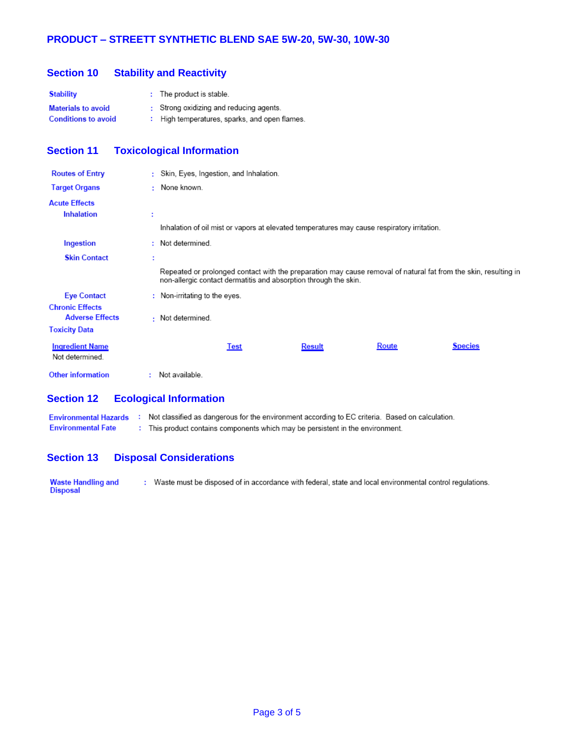#### **Section 10 Stability and Reactivity**

| <b>Stability</b>           | : The product is stable.                      |
|----------------------------|-----------------------------------------------|
| <b>Materials to avoid</b>  | : Strong oxidizing and reducing agents.       |
| <b>Conditions to avoid</b> | : High temperatures, sparks, and open flames. |

## **Section 11 Toxicological Information**

| <b>Routes of Entry</b>                           |   | : Skin, Eyes, Ingestion, and Inhalation.                                                                                                                                            |  |               |       |                |
|--------------------------------------------------|---|-------------------------------------------------------------------------------------------------------------------------------------------------------------------------------------|--|---------------|-------|----------------|
| <b>Target Organs</b>                             |   | : None known.                                                                                                                                                                       |  |               |       |                |
| <b>Acute Effects</b>                             |   |                                                                                                                                                                                     |  |               |       |                |
| <b>Inhalation</b>                                | t |                                                                                                                                                                                     |  |               |       |                |
|                                                  |   | Inhalation of oil mist or vapors at elevated temperatures may cause respiratory irritation.                                                                                         |  |               |       |                |
| Ingestion                                        |   | : Not determined.                                                                                                                                                                   |  |               |       |                |
| <b>Skin Contact</b>                              | ÷ |                                                                                                                                                                                     |  |               |       |                |
|                                                  |   | Repeated or prolonged contact with the preparation may cause removal of natural fat from the skin, resulting in<br>non-allergic contact dermatitis and absorption through the skin. |  |               |       |                |
| <b>Eye Contact</b>                               |   | $:$ Non-irritating to the eyes.                                                                                                                                                     |  |               |       |                |
| <b>Chronic Effects</b><br><b>Adverse Effects</b> |   | : Not determined.                                                                                                                                                                   |  |               |       |                |
| <b>Toxicity Data</b>                             |   |                                                                                                                                                                                     |  |               |       |                |
| <b>Ingredient Name</b><br>Not determined.        |   | Test                                                                                                                                                                                |  | <b>Result</b> | Route | <b>Species</b> |
| <b>Other information</b>                         |   | Not available.                                                                                                                                                                      |  |               |       |                |

#### **Section 12 Ecological Information**

: Not classified as dangerous for the environment according to EC criteria. Based on calculation. **Environmental Hazards Environmental Fate** : This product contains components which may be persistent in the environment.

#### **Section 13 Disposal Considerations**

Waste Handling and<br>Disposal : Waste must be disposed of in accordance with federal, state and local environmental control regulations.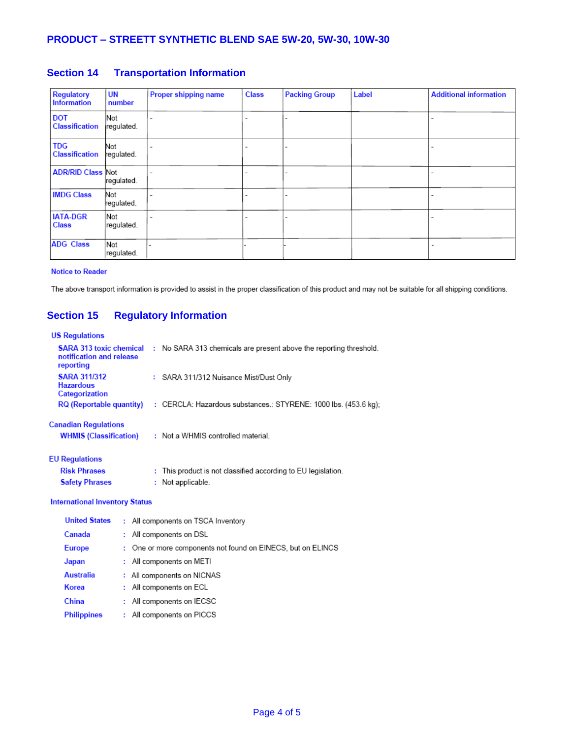## **PRODUCT – STREETT SYNTHETIC BLEND SAE 5W-20, 5W-30, 10W-30**

| Regulatory<br><b>Information</b>    | <b>UN</b><br>number      | Proper shipping name | <b>Class</b>             | <b>Packing Group</b> | Label | <b>Additional information</b> |
|-------------------------------------|--------------------------|----------------------|--------------------------|----------------------|-------|-------------------------------|
| <b>DOT</b><br><b>Classification</b> | Not<br>regulated.        |                      | -                        |                      |       |                               |
| <b>TDG</b><br><b>Classification</b> | Not<br>regulated.        |                      | ۰                        |                      |       |                               |
| <b>ADR/RID Class Not</b>            | regulated.               |                      | $\overline{\phantom{a}}$ |                      |       |                               |
| <b>IMDG Class</b>                   | Not<br>regulated.        |                      | $\overline{\phantom{a}}$ |                      |       |                               |
| <b>IATA-DGR</b><br><b>Class</b>     | <b>Not</b><br>regulated. |                      | -                        |                      |       |                               |
| <b>ADG Class</b>                    | <b>Not</b><br>regulated. |                      |                          |                      |       |                               |

### **Section 14 Transportation Information**

#### **Notice to Reader**

The above transport information is provided to assist in the proper classification of this product and may not be suitable for all shipping conditions.

## **Section 15 Regulatory Information**

#### **US Regulations**

| <b>SARA 313 toxic chemical</b><br>notification and release<br>reporting | No SARA 313 chemicals are present above the reporting threshold.                 |
|-------------------------------------------------------------------------|----------------------------------------------------------------------------------|
| <b>SARA 311/312</b><br><b>Hazardous</b><br>Categorization               | : SARA 311/312 Nuisance Mist/Dust Only                                           |
| <b>RQ (Reportable quantity)</b>                                         | $\pm$ CERCLA: Hazardous substances.: STYRENE: 1000 lbs. (453.6 kg);              |
| <b>Canadian Regulations</b><br><b>WHMIS (Classification)</b>            | : Not a WHMIS controlled material.                                               |
| <b>EU Regulations</b><br><b>Risk Phrases</b><br><b>Safety Phrases</b>   | : This product is not classified according to EU legislation.<br>Not applicable. |

#### **International Inventory Status**

| <b>United States</b> | : All components on TSCA Inventory                          |
|----------------------|-------------------------------------------------------------|
| Canada               | : All components on DSL                                     |
| <b>Europe</b>        | : One or more components not found on EINECS, but on ELINCS |
| Japan                | : All components on METI                                    |
| Australia            | : All components on NICNAS                                  |
| Korea                | : All components on ECL                                     |
| China                | : All components on IECSC                                   |
| <b>Philippines</b>   | : All components on PICCS                                   |